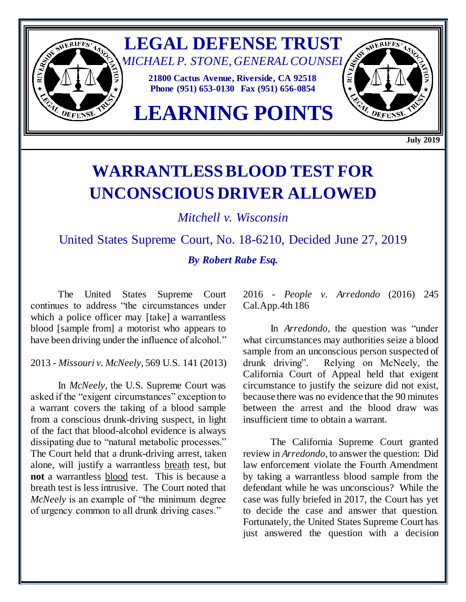

**July 2019**

## **WARRANTLESS BLOOD TEST FOR UNCONSCIOUS DRIVER ALLOWED**

*Mitchell v. Wisconsin*

United States Supreme Court, No. 18-6210, Decided June 27, 2019 *By Robert Rabe Esq.*

The United States Supreme Court continues to address "the circumstances under which a police officer may [take] a warrantless blood [sample from] a motorist who appears to have been driving under the influence of alcohol."

2013 - *Missouri v. McNeely*, 569 U.S. 141 (2013)

In *McNeely*, the U.S. Supreme Court was asked if the "exigent circumstances" exception to a warrant covers the taking of a blood sample from a conscious drunk-driving suspect, in light of the fact that blood-alcohol evidence is always dissipating due to "natural metabolic processes." The Court held that a drunk-driving arrest, taken alone, will justify a warrantless breath test, but **not** a warrantless blood test. This is because a breath test is less intrusive. The Court noted that *McNeely* is an example of "the minimum degree of urgency common to all drunk driving cases."

2016 - *People v. Arredondo* (2016) 245 Cal.App.4th 186

In *Arredondo*, the question was "under what circumstances may authorities seize a blood sample from an unconscious person suspected of drunk driving". Relying on McNeely, the California Court of Appeal held that exigent circumstance to justify the seizure did not exist, because there was no evidence that the 90 minutes between the arrest and the blood draw was insufficient time to obtain a warrant.

The California Supreme Court granted review in *Arredondo*, to answer the question: Did law enforcement violate the Fourth Amendment by taking a warrantless blood sample from the defendant while he was unconscious? While the case was fully briefed in 2017, the Court has yet to decide the case and answer that question. Fortunately, the United States Supreme Court has just answered the question with a decision